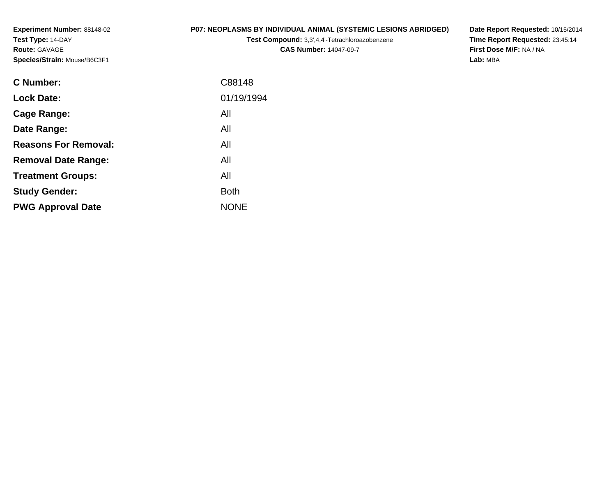**Experiment Number:** 88148-02**Test Type:** 14-DAY**Route:** GAVAGE**Species/Strain:** Mouse/B6C3F1

# **P07: NEOPLASMS BY INDIVIDUAL ANIMAL (SYSTEMIC LESIONS ABRIDGED)**

**Test Compound:** 3,3',4,4'-Tetrachloroazobenzene**CAS Number:** 14047-09-7

**Date Report Requested:** 10/15/2014 **Time Report Requested:** 23:45:14**First Dose M/F:** NA / NA**Lab:** MBA

| <b>C Number:</b>            | C88148      |
|-----------------------------|-------------|
| <b>Lock Date:</b>           | 01/19/1994  |
| <b>Cage Range:</b>          | All         |
| Date Range:                 | All         |
| <b>Reasons For Removal:</b> | All         |
| <b>Removal Date Range:</b>  | All         |
| <b>Treatment Groups:</b>    | All         |
| <b>Study Gender:</b>        | <b>Both</b> |
| <b>PWG Approval Date</b>    | <b>NONE</b> |
|                             |             |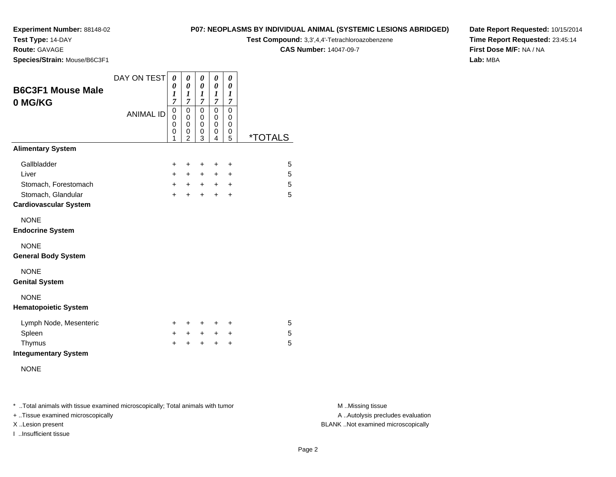**Test Type:** 14-DAY

**Route:** GAVAGE

**Species/Strain:** Mouse/B6C3F1

# **P07: NEOPLASMS BY INDIVIDUAL ANIMAL (SYSTEMIC LESIONS ABRIDGED)**

**Test Compound:** 3,3',4,4'-Tetrachloroazobenzene

**CAS Number:** 14047-09-7

**Date Report Requested:** 10/15/2014**Time Report Requested:** 23:45:14**First Dose M/F:** NA / NA**Lab:** MBA

| <b>B6C3F1 Mouse Male</b><br>0 MG/KG                | DAY ON TEST      | 0<br>0<br>1<br>$\overline{7}$ | 0<br>$\boldsymbol{\theta}$<br>1<br>$\overline{7}$      | 0<br>$\pmb{\theta}$<br>1<br>$\overline{7}$ | 0<br>0<br>$\boldsymbol{l}$<br>$\overline{7}$ | 0<br>$\boldsymbol{\theta}$<br>1<br>$\boldsymbol{7}$ |                       |
|----------------------------------------------------|------------------|-------------------------------|--------------------------------------------------------|--------------------------------------------|----------------------------------------------|-----------------------------------------------------|-----------------------|
|                                                    | <b>ANIMAL ID</b> | 0<br>0<br>0<br>0<br>1         | 0<br>$\mathbf 0$<br>$\mathbf 0$<br>0<br>$\overline{2}$ | 0<br>$\mathbf 0$<br>0<br>0<br>3            | 0<br>0<br>0<br>0<br>4                        | 0<br>0<br>0<br>0<br>5                               | <i><b>*TOTALS</b></i> |
| <b>Alimentary System</b>                           |                  |                               |                                                        |                                            |                                              |                                                     |                       |
| Gallbladder                                        |                  | $\ddot{}$                     | +                                                      | +                                          | $\ddot{}$                                    | +                                                   | 5                     |
| Liver                                              |                  | $+$                           | $+$                                                    | $+$                                        | $\ddot{}$                                    | $\ddot{}$                                           | 5                     |
| Stomach, Forestomach                               |                  | $+$                           | $+$                                                    | $+$                                        | $+$                                          | $\ddot{}$                                           | 5                     |
| Stomach, Glandular<br><b>Cardiovascular System</b> |                  | $+$                           | $\ddot{}$                                              | $+$                                        | $\ddot{}$                                    | $\ddot{}$                                           | 5                     |
| <b>NONE</b><br><b>Endocrine System</b>             |                  |                               |                                                        |                                            |                                              |                                                     |                       |
| <b>NONE</b><br><b>General Body System</b>          |                  |                               |                                                        |                                            |                                              |                                                     |                       |
| <b>NONE</b><br><b>Genital System</b>               |                  |                               |                                                        |                                            |                                              |                                                     |                       |
| <b>NONE</b><br><b>Hematopoietic System</b>         |                  |                               |                                                        |                                            |                                              |                                                     |                       |
| Lymph Node, Mesenteric                             |                  | $\pm$                         | +                                                      | +                                          | +                                            | +                                                   | 5                     |
| Spleen                                             |                  | $+$                           | $+$                                                    | $\ddot{}$                                  | $\ddot{}$                                    | +                                                   | 5                     |
| Thymus<br><b>Integumentary System</b>              |                  | $\ddot{}$                     | $\div$                                                 | ÷                                          | $\ddot{}$                                    | $\ddot{}$                                           | 5                     |
| <b>NONE</b>                                        |                  |                               |                                                        |                                            |                                              |                                                     |                       |

\* ..Total animals with tissue examined microscopically; Total animals with tumor **M** . Missing tissue M ..Missing tissue

+ ..Tissue examined microscopically

I ..Insufficient tissue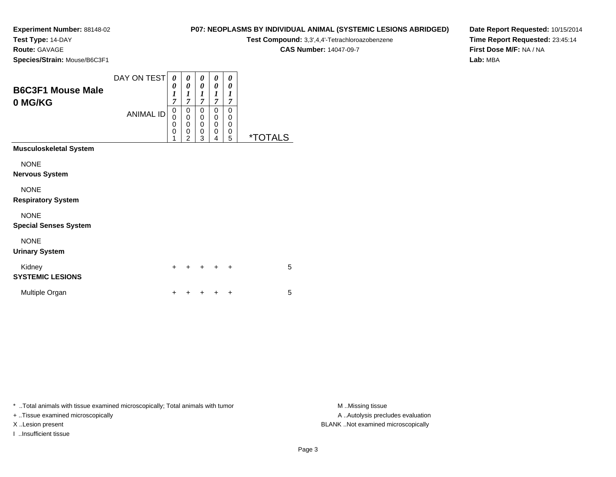**Test Type:** 14-DAY

**Route:** GAVAGE

**Species/Strain:** Mouse/B6C3F1

| P07: NEOPLASMS BY INDIVIDUAL ANIMAL (SYSTEMIC LESIONS ABRIDGED) |  |
|-----------------------------------------------------------------|--|
|-----------------------------------------------------------------|--|

**Test Compound:** 3,3',4,4'-Tetrachloroazobenzene

**CAS Number:** 14047-09-7

**Date Report Requested:** 10/15/2014**Time Report Requested:** 23:45:14**First Dose M/F:** NA / NA**Lab:** MBA

| <b>B6C3F1 Mouse Male</b><br>0 MG/KG | DAY ON TEST<br><b>ANIMAL ID</b> | 0<br>0<br>1<br>$\overline{7}$<br>0<br>$\bar{0}$<br>0<br>0<br>1 | 0<br>0<br>$\boldsymbol{l}$<br>7<br>0<br>$\mathbf 0$<br>0<br>$\mathbf 0$<br>$\overline{c}$ | 0<br>$\boldsymbol{\theta}$<br>1<br>7<br>0<br>$\mathbf 0$<br>$\mathbf 0$<br>0<br>3 | 0<br>0<br>1<br>7<br>0<br>0<br>0<br>0<br>4 | 0<br>0<br>1<br>7<br>0<br>0<br>0<br>0<br>5 | <i><b>*TOTALS</b></i> |
|-------------------------------------|---------------------------------|----------------------------------------------------------------|-------------------------------------------------------------------------------------------|-----------------------------------------------------------------------------------|-------------------------------------------|-------------------------------------------|-----------------------|
| <b>Musculoskeletal System</b>       |                                 |                                                                |                                                                                           |                                                                                   |                                           |                                           |                       |
| <b>NONE</b>                         |                                 |                                                                |                                                                                           |                                                                                   |                                           |                                           |                       |
| <b>Nervous System</b>               |                                 |                                                                |                                                                                           |                                                                                   |                                           |                                           |                       |
| <b>NONE</b>                         |                                 |                                                                |                                                                                           |                                                                                   |                                           |                                           |                       |
| <b>Respiratory System</b>           |                                 |                                                                |                                                                                           |                                                                                   |                                           |                                           |                       |
| <b>NONE</b>                         |                                 |                                                                |                                                                                           |                                                                                   |                                           |                                           |                       |
| <b>Special Senses System</b>        |                                 |                                                                |                                                                                           |                                                                                   |                                           |                                           |                       |
| <b>NONE</b>                         |                                 |                                                                |                                                                                           |                                                                                   |                                           |                                           |                       |
| <b>Urinary System</b>               |                                 |                                                                |                                                                                           |                                                                                   |                                           |                                           |                       |
| Kidney<br><b>SYSTEMIC LESIONS</b>   |                                 | $\ddot{}$                                                      | +                                                                                         | +                                                                                 | +                                         | $\ddot{}$                                 | 5                     |
| Multiple Organ                      |                                 | +                                                              |                                                                                           |                                                                                   |                                           | $\ddot{}$                                 | 5                     |

\* ..Total animals with tissue examined microscopically; Total animals with tumor **M** . Missing tissue M ..Missing tissue

+ ..Tissue examined microscopically

I ..Insufficient tissue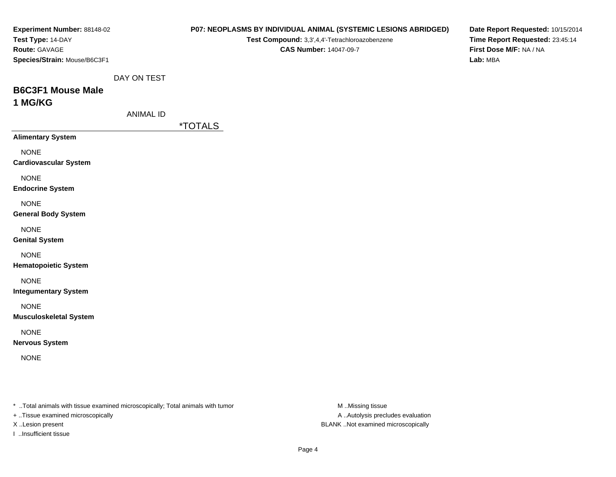| Experiment Number: 88148-02<br>Test Type: 14-DAY                                                                    |                  |                       | Test Compound: 3,3',4,4'-Tetrachloroazobenzene | P07: NEOPLASMS BY INDIVIDUAL ANIMAL (SYSTEMIC LESIONS ABRIDGED) | Date Report Requested: 10/15/2014<br>Time Report Requested: 23:45:14 |
|---------------------------------------------------------------------------------------------------------------------|------------------|-----------------------|------------------------------------------------|-----------------------------------------------------------------|----------------------------------------------------------------------|
| Route: GAVAGE<br>Species/Strain: Mouse/B6C3F1                                                                       |                  |                       | <b>CAS Number: 14047-09-7</b>                  |                                                                 | First Dose M/F: NA / NA<br>Lab: MBA                                  |
|                                                                                                                     | DAY ON TEST      |                       |                                                |                                                                 |                                                                      |
| <b>B6C3F1 Mouse Male</b>                                                                                            |                  |                       |                                                |                                                                 |                                                                      |
| 1 MG/KG                                                                                                             |                  |                       |                                                |                                                                 |                                                                      |
|                                                                                                                     | <b>ANIMAL ID</b> |                       |                                                |                                                                 |                                                                      |
| <b>Alimentary System</b>                                                                                            |                  | <i><b>*TOTALS</b></i> |                                                |                                                                 |                                                                      |
| <b>NONE</b><br><b>Cardiovascular System</b>                                                                         |                  |                       |                                                |                                                                 |                                                                      |
| <b>NONE</b><br><b>Endocrine System</b>                                                                              |                  |                       |                                                |                                                                 |                                                                      |
| <b>NONE</b><br><b>General Body System</b>                                                                           |                  |                       |                                                |                                                                 |                                                                      |
| <b>NONE</b><br><b>Genital System</b>                                                                                |                  |                       |                                                |                                                                 |                                                                      |
| <b>NONE</b><br><b>Hematopoietic System</b>                                                                          |                  |                       |                                                |                                                                 |                                                                      |
| <b>NONE</b><br><b>Integumentary System</b>                                                                          |                  |                       |                                                |                                                                 |                                                                      |
| <b>NONE</b><br><b>Musculoskeletal System</b>                                                                        |                  |                       |                                                |                                                                 |                                                                      |
| <b>NONE</b><br><b>Nervous System</b>                                                                                |                  |                       |                                                |                                                                 |                                                                      |
| <b>NONE</b>                                                                                                         |                  |                       |                                                |                                                                 |                                                                      |
| * Total animals with tissue examined microscopically; Total animals with tumor<br>+ Tissue examined microscopically |                  |                       |                                                | M Missing tissue<br>A Autolysis precludes evaluation            |                                                                      |

I ..Insufficient tissue

X ..Lesion present BLANK ..Not examined microscopically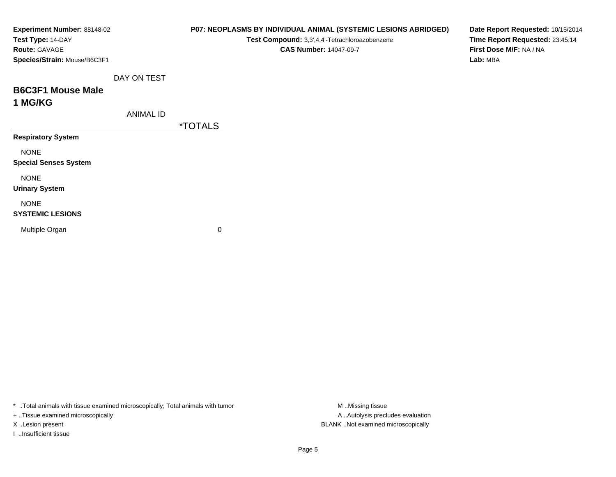\* ..Total animals with tissue examined microscopically; Total animals with tumor M..Missing tissue M ..Missing tissue

+ ..Tissue examined microscopically

I ..Insufficient tissue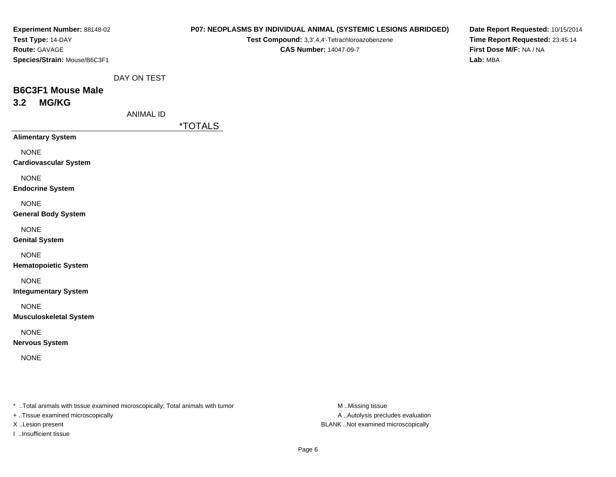| Experiment Number: 88148-02                                                     |                  | P07: NEOPLASMS BY INDIVIDUAL ANIMAL (SYSTEMIC LESIONS ABRIDGED) |                  | Date Report Requested: 10/15/2014 |
|---------------------------------------------------------------------------------|------------------|-----------------------------------------------------------------|------------------|-----------------------------------|
| Test Type: 14-DAY                                                               |                  | Test Compound: 3,3',4,4'-Tetrachloroazobenzene                  |                  | Time Report Requested: 23:45:14   |
| Route: GAVAGE                                                                   |                  | <b>CAS Number: 14047-09-7</b>                                   |                  | First Dose M/F: NA / NA           |
| Species/Strain: Mouse/B6C3F1                                                    |                  |                                                                 |                  | Lab: MBA                          |
|                                                                                 | DAY ON TEST      |                                                                 |                  |                                   |
| <b>B6C3F1 Mouse Male</b>                                                        |                  |                                                                 |                  |                                   |
| <b>MG/KG</b><br>3.2                                                             |                  |                                                                 |                  |                                   |
|                                                                                 | <b>ANIMAL ID</b> |                                                                 |                  |                                   |
|                                                                                 |                  | <i><b>*TOTALS</b></i>                                           |                  |                                   |
| <b>Alimentary System</b>                                                        |                  |                                                                 |                  |                                   |
| <b>NONE</b>                                                                     |                  |                                                                 |                  |                                   |
| <b>Cardiovascular System</b>                                                    |                  |                                                                 |                  |                                   |
| <b>NONE</b>                                                                     |                  |                                                                 |                  |                                   |
| <b>Endocrine System</b>                                                         |                  |                                                                 |                  |                                   |
| <b>NONE</b>                                                                     |                  |                                                                 |                  |                                   |
| <b>General Body System</b>                                                      |                  |                                                                 |                  |                                   |
| <b>NONE</b>                                                                     |                  |                                                                 |                  |                                   |
| <b>Genital System</b>                                                           |                  |                                                                 |                  |                                   |
|                                                                                 |                  |                                                                 |                  |                                   |
| <b>NONE</b>                                                                     |                  |                                                                 |                  |                                   |
| <b>Hematopoietic System</b>                                                     |                  |                                                                 |                  |                                   |
| <b>NONE</b>                                                                     |                  |                                                                 |                  |                                   |
| <b>Integumentary System</b>                                                     |                  |                                                                 |                  |                                   |
| <b>NONE</b>                                                                     |                  |                                                                 |                  |                                   |
| <b>Musculoskeletal System</b>                                                   |                  |                                                                 |                  |                                   |
| <b>NONE</b>                                                                     |                  |                                                                 |                  |                                   |
| <b>Nervous System</b>                                                           |                  |                                                                 |                  |                                   |
| <b>NONE</b>                                                                     |                  |                                                                 |                  |                                   |
|                                                                                 |                  |                                                                 |                  |                                   |
|                                                                                 |                  |                                                                 |                  |                                   |
|                                                                                 |                  |                                                                 |                  |                                   |
| *  Total animals with tissue examined microscopically; Total animals with tumor |                  |                                                                 | M Missing tissue |                                   |

+ ..Tissue examined microscopically

I ..Insufficient tissue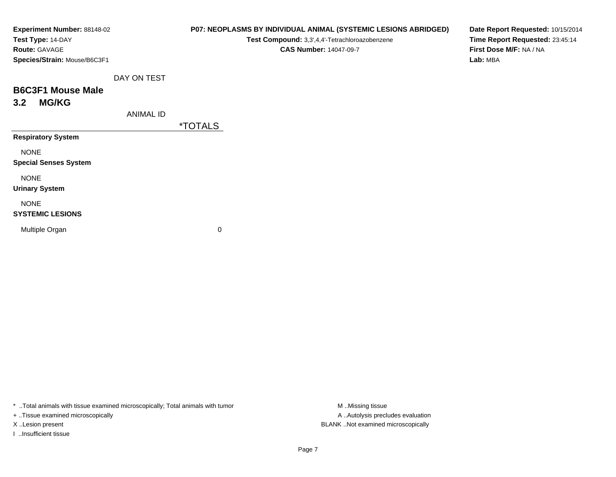| Experiment Number: 88148-02  |                  | P07: NEOPLASMS BY INDIVIDUAL ANIMAL (SYSTEMIC LESIONS ABRIDGED) | Date Report Requested: 10/15/2014 |
|------------------------------|------------------|-----------------------------------------------------------------|-----------------------------------|
| Test Type: 14-DAY            |                  | Test Compound: 3,3',4,4'-Tetrachloroazobenzene                  | Time Report Requested: 23:45:14   |
| Route: GAVAGE                |                  | <b>CAS Number: 14047-09-7</b>                                   | First Dose M/F: NA / NA           |
| Species/Strain: Mouse/B6C3F1 |                  |                                                                 | Lab: MBA                          |
|                              | DAY ON TEST      |                                                                 |                                   |
| <b>B6C3F1 Mouse Male</b>     |                  |                                                                 |                                   |
| <b>MG/KG</b><br>3.2          |                  |                                                                 |                                   |
|                              | <b>ANIMAL ID</b> |                                                                 |                                   |
|                              |                  | <i><b>*TOTALS</b></i>                                           |                                   |
| <b>Respiratory System</b>    |                  |                                                                 |                                   |
| <b>NONE</b>                  |                  |                                                                 |                                   |
| <b>Special Senses System</b> |                  |                                                                 |                                   |
| <b>NONE</b>                  |                  |                                                                 |                                   |
| <b>Urinary System</b>        |                  |                                                                 |                                   |
| <b>NONE</b>                  |                  |                                                                 |                                   |
| <b>SYSTEMIC LESIONS</b>      |                  |                                                                 |                                   |
| Multiple Organ               |                  | 0                                                               |                                   |
|                              |                  |                                                                 |                                   |
|                              |                  |                                                                 |                                   |

\* ..Total animals with tissue examined microscopically; Total animals with tumor M..Missing tissue M ..Missing tissue

+ ..Tissue examined microscopically

I ..Insufficient tissue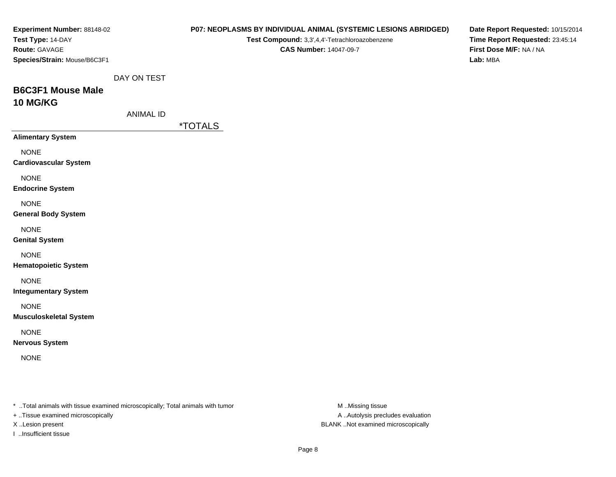| Experiment Number: 88148-02<br>Test Type: 14-DAY                                                                    |                  | P07: NEOPLASMS BY INDIVIDUAL ANIMAL (SYSTEMIC LESIONS ABRIDGED)<br>Test Compound: 3,3',4,4'-Tetrachloroazobenzene |                                                       | Date Report Requested: 10/15/2014<br>Time Report Requested: 23:45:14 |
|---------------------------------------------------------------------------------------------------------------------|------------------|-------------------------------------------------------------------------------------------------------------------|-------------------------------------------------------|----------------------------------------------------------------------|
| Route: GAVAGE<br>Species/Strain: Mouse/B6C3F1                                                                       |                  | <b>CAS Number: 14047-09-7</b>                                                                                     |                                                       | First Dose M/F: NA / NA<br>Lab: MBA                                  |
|                                                                                                                     | DAY ON TEST      |                                                                                                                   |                                                       |                                                                      |
| <b>B6C3F1 Mouse Male</b>                                                                                            |                  |                                                                                                                   |                                                       |                                                                      |
| 10 MG/KG                                                                                                            |                  |                                                                                                                   |                                                       |                                                                      |
|                                                                                                                     | <b>ANIMAL ID</b> | <i><b>*TOTALS</b></i>                                                                                             |                                                       |                                                                      |
| <b>Alimentary System</b>                                                                                            |                  |                                                                                                                   |                                                       |                                                                      |
| <b>NONE</b><br><b>Cardiovascular System</b>                                                                         |                  |                                                                                                                   |                                                       |                                                                      |
| <b>NONE</b><br><b>Endocrine System</b>                                                                              |                  |                                                                                                                   |                                                       |                                                                      |
| <b>NONE</b><br><b>General Body System</b>                                                                           |                  |                                                                                                                   |                                                       |                                                                      |
| <b>NONE</b><br><b>Genital System</b>                                                                                |                  |                                                                                                                   |                                                       |                                                                      |
| <b>NONE</b><br><b>Hematopoietic System</b>                                                                          |                  |                                                                                                                   |                                                       |                                                                      |
| <b>NONE</b><br><b>Integumentary System</b>                                                                          |                  |                                                                                                                   |                                                       |                                                                      |
| <b>NONE</b><br><b>Musculoskeletal System</b>                                                                        |                  |                                                                                                                   |                                                       |                                                                      |
| <b>NONE</b><br><b>Nervous System</b>                                                                                |                  |                                                                                                                   |                                                       |                                                                      |
| <b>NONE</b>                                                                                                         |                  |                                                                                                                   |                                                       |                                                                      |
| * Total animals with tissue examined microscopically; Total animals with tumor<br>+ Tissue examined microscopically |                  |                                                                                                                   | M Missing tissue<br>A  Autolysis precludes evaluation |                                                                      |

I ..Insufficient tissue

X ..Lesion present BLANK ..Not examined microscopically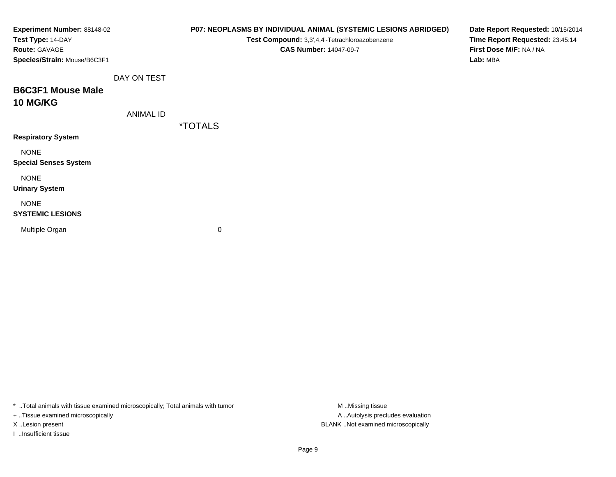| Experiment Number: 88148-02<br>Test Type: 14-DAY<br>Route: GAVAGE<br>Species/Strain: Mouse/B6C3F1 |                  | P07: NEOPLASMS BY INDIVIDUAL ANIMAL (SYSTEMIC LESIONS ABRIDGED)<br>Test Compound: 3,3',4,4'-Tetrachloroazobenzene<br><b>CAS Number: 14047-09-7</b> | Date Report Requested: 10/15/2014<br>Time Report Requested: 23:45:14<br>First Dose M/F: NA / NA<br>Lab: MBA |
|---------------------------------------------------------------------------------------------------|------------------|----------------------------------------------------------------------------------------------------------------------------------------------------|-------------------------------------------------------------------------------------------------------------|
|                                                                                                   | DAY ON TEST      |                                                                                                                                                    |                                                                                                             |
| <b>B6C3F1 Mouse Male</b><br><b>10 MG/KG</b>                                                       |                  |                                                                                                                                                    |                                                                                                             |
|                                                                                                   | <b>ANIMAL ID</b> |                                                                                                                                                    |                                                                                                             |
|                                                                                                   |                  | <i><b>*TOTALS</b></i>                                                                                                                              |                                                                                                             |
| <b>Respiratory System</b>                                                                         |                  |                                                                                                                                                    |                                                                                                             |
| <b>NONE</b><br><b>Special Senses System</b>                                                       |                  |                                                                                                                                                    |                                                                                                             |
| <b>NONE</b><br><b>Urinary System</b>                                                              |                  |                                                                                                                                                    |                                                                                                             |
| <b>NONE</b><br><b>SYSTEMIC LESIONS</b>                                                            |                  |                                                                                                                                                    |                                                                                                             |
| Multiple Organ                                                                                    |                  | 0                                                                                                                                                  |                                                                                                             |

\* ..Total animals with tissue examined microscopically; Total animals with tumor M..Missing tissue M

+ ..Tissue examined microscopically

I ..Insufficient tissue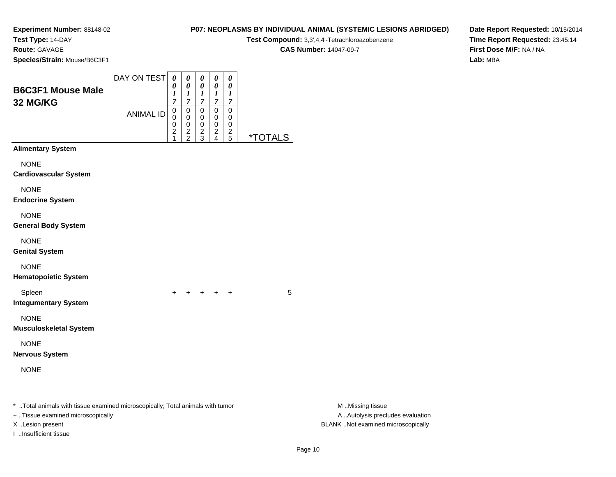**Test Type:** 14-DAY

**Route:** GAVAGE

**Species/Strain:** Mouse/B6C3F1

| <b>P07: NEOPLASMS BY INDIVIDUAL ANIMAL (SYSTEMIC LESIONS ABRIDGED)</b> |
|------------------------------------------------------------------------|
| <b>Test Compound:</b> 3.3'.4.4'-Tetrachloroazobenzene                  |
| <b>CAS Number: 14047-09-7</b>                                          |

**Date Report Requested:** 10/15/2014**Time Report Requested:** 23:45:14**First Dose M/F:** NA / NA**Lab:** MBA

| <b>B6C3F1 Mouse Male</b><br>32 MG/KG                                                                                                    | DAY ON TEST      | $\boldsymbol{\theta}$<br>0<br>$\frac{1}{7}$            | 0<br>0<br>$\frac{1}{7}$              | 0<br>$\boldsymbol{\theta}$<br>$\frac{1}{7}$  | $\pmb{\theta}$<br>0<br>$\boldsymbol{l}$<br>$\overline{7}$ | $\pmb{\theta}$<br>0<br>1<br>$\overline{7}$ |                       |                                                                                             |
|-----------------------------------------------------------------------------------------------------------------------------------------|------------------|--------------------------------------------------------|--------------------------------------|----------------------------------------------|-----------------------------------------------------------|--------------------------------------------|-----------------------|---------------------------------------------------------------------------------------------|
|                                                                                                                                         | <b>ANIMAL ID</b> | 0<br>0<br>0<br>$\overline{\mathbf{c}}$<br>$\mathbf{1}$ | $\pmb{0}$<br>0<br>0<br>$\frac{2}{2}$ | $\pmb{0}$<br>0<br>$\pmb{0}$<br>$\frac{2}{3}$ | $\pmb{0}$<br>$\pmb{0}$<br>$\mathbf 0$<br>$\frac{2}{4}$    | $\pmb{0}$<br>0<br>0<br>$\frac{2}{5}$       | <i><b>*TOTALS</b></i> |                                                                                             |
| <b>Alimentary System</b>                                                                                                                |                  |                                                        |                                      |                                              |                                                           |                                            |                       |                                                                                             |
| <b>NONE</b><br><b>Cardiovascular System</b>                                                                                             |                  |                                                        |                                      |                                              |                                                           |                                            |                       |                                                                                             |
| <b>NONE</b><br><b>Endocrine System</b>                                                                                                  |                  |                                                        |                                      |                                              |                                                           |                                            |                       |                                                                                             |
| <b>NONE</b><br><b>General Body System</b>                                                                                               |                  |                                                        |                                      |                                              |                                                           |                                            |                       |                                                                                             |
| <b>NONE</b><br><b>Genital System</b>                                                                                                    |                  |                                                        |                                      |                                              |                                                           |                                            |                       |                                                                                             |
| <b>NONE</b><br><b>Hematopoietic System</b>                                                                                              |                  |                                                        |                                      |                                              |                                                           |                                            |                       |                                                                                             |
| Spleen<br><b>Integumentary System</b>                                                                                                   |                  | $+$                                                    |                                      | $+ + + + +$                                  |                                                           |                                            | 5                     |                                                                                             |
| <b>NONE</b><br><b>Musculoskeletal System</b>                                                                                            |                  |                                                        |                                      |                                              |                                                           |                                            |                       |                                                                                             |
| <b>NONE</b><br><b>Nervous System</b>                                                                                                    |                  |                                                        |                                      |                                              |                                                           |                                            |                       |                                                                                             |
| <b>NONE</b>                                                                                                                             |                  |                                                        |                                      |                                              |                                                           |                                            |                       |                                                                                             |
| * Total animals with tissue examined microscopically; Total animals with tumor<br>+ Tissue examined microscopically<br>X Lesion present |                  |                                                        |                                      |                                              |                                                           |                                            |                       | M Missing tissue<br>A  Autolysis precludes evaluation<br>BLANK Not examined microscopically |

I ..Insufficient tissue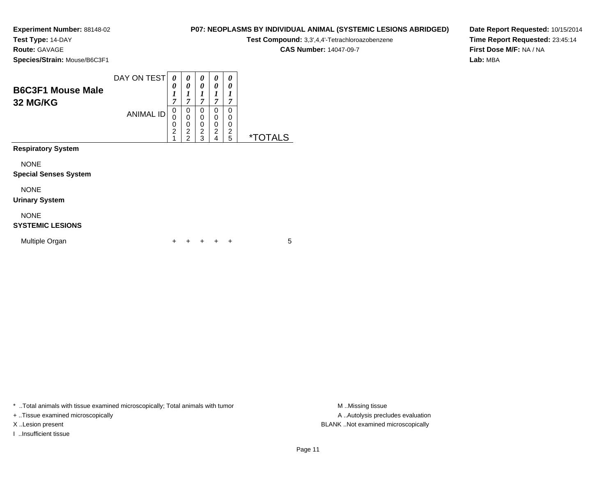**Test Type:** 14-DAY

**Route:** GAVAGE

**Species/Strain:** Mouse/B6C3F1

| P07: NEOPLASMS BY INDIVIDUAL ANIMAL (SYSTEMIC LESIONS ABRIDGED) |  |  |  |
|-----------------------------------------------------------------|--|--|--|
|                                                                 |  |  |  |

**Test Compound:** 3,3',4,4'-Tetrachloroazobenzene

**CAS Number:** 14047-09-7

**Date Report Requested:** 10/15/2014**Time Report Requested:** 23:45:14**First Dose M/F:** NA / NA**Lab:** MBA

| <b>B6C3F1 Mouse Male</b><br>32 MG/KG        | DAY ON TEST      | 0<br>0<br>1<br>$\overline{7}$      | 0<br>0<br>1<br>7                                          | 0<br>0<br>1<br>7                                       | 0<br>0<br>1<br>7                                                 | 0<br>0<br>1<br>7             |                       |
|---------------------------------------------|------------------|------------------------------------|-----------------------------------------------------------|--------------------------------------------------------|------------------------------------------------------------------|------------------------------|-----------------------|
|                                             | <b>ANIMAL ID</b> | 0<br>0<br>0<br>$\overline{2}$<br>1 | 0<br>$\mathbf 0$<br>0<br>$\overline{c}$<br>$\overline{2}$ | 0<br>$\mathbf 0$<br>$\mathbf 0$<br>$\overline{c}$<br>3 | $\Omega$<br>$\mathbf 0$<br>0<br>$\overline{c}$<br>$\overline{4}$ | $\Omega$<br>0<br>0<br>2<br>5 | <i><b>*TOTALS</b></i> |
| <b>Respiratory System</b>                   |                  |                                    |                                                           |                                                        |                                                                  |                              |                       |
| <b>NONE</b><br><b>Special Senses System</b> |                  |                                    |                                                           |                                                        |                                                                  |                              |                       |
| <b>NONE</b><br><b>Urinary System</b>        |                  |                                    |                                                           |                                                        |                                                                  |                              |                       |
| <b>NONE</b><br><b>SYSTEMIC LESIONS</b>      |                  |                                    |                                                           |                                                        |                                                                  |                              |                       |
| Multiple Organ                              |                  | ÷                                  |                                                           |                                                        |                                                                  | ÷                            | 5                     |

\* ..Total animals with tissue examined microscopically; Total animals with tumor **M** . Missing tissue M ..Missing tissue

+ ..Tissue examined microscopically

I ..Insufficient tissue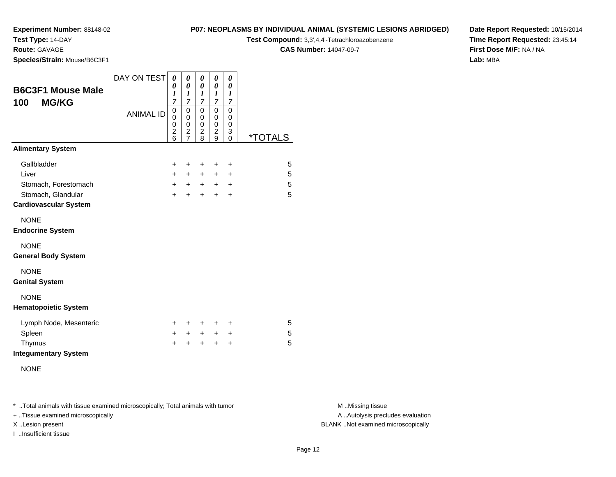**Test Type:** 14-DAY

# **Route:** GAVAGE

**Species/Strain:** Mouse/B6C3F1

#### **P07: NEOPLASMS BY INDIVIDUAL ANIMAL (SYSTEMIC LESIONS ABRIDGED)**

**Test Compound:** 3,3',4,4'-Tetrachloroazobenzene

**CAS Number:** 14047-09-7

**Date Report Requested:** 10/15/2014**Time Report Requested:** 23:45:14**First Dose M/F:** NA / NA**Lab:** MBA

| <b>B6C3F1 Mouse Male</b><br><b>MG/KG</b><br>100    | DAY ON TEST      | $\boldsymbol{\theta}$<br>0<br>1<br>7                   | 0<br>0<br>$\boldsymbol{l}$<br>$\overline{7}$                        | 0<br>$\pmb{\theta}$<br>1<br>$\overline{7}$   | 0<br>0<br>1<br>$\overline{7}$ | 0<br>0<br>$\boldsymbol{l}$<br>$\overline{7}$ |                       |
|----------------------------------------------------|------------------|--------------------------------------------------------|---------------------------------------------------------------------|----------------------------------------------|-------------------------------|----------------------------------------------|-----------------------|
|                                                    | <b>ANIMAL ID</b> | $\mathbf 0$<br>$\mathbf 0$<br>0<br>$\overline{c}$<br>6 | $\mathbf 0$<br>0<br>$\mathbf 0$<br>$\overline{c}$<br>$\overline{7}$ | 0<br>0<br>$\mathbf 0$<br>$\overline{c}$<br>8 | $\pmb{0}$<br>0<br>0<br>2<br>9 | $\mathbf 0$<br>0<br>0<br>3<br>$\Omega$       | <i><b>*TOTALS</b></i> |
| <b>Alimentary System</b>                           |                  |                                                        |                                                                     |                                              |                               |                                              |                       |
| Gallbladder                                        |                  | $\ddot{}$                                              | $\ddot{}$                                                           | $\ddot{}$                                    | $\ddot{}$                     | $\ddot{}$                                    | 5                     |
| Liver                                              |                  | $+$                                                    | $\pm$                                                               | $\pm$                                        | $\pm$                         | ÷                                            | 5                     |
| Stomach, Forestomach                               |                  | $+$                                                    | $+$                                                                 | $+$ $-$                                      | $\pm$                         | $\ddot{}$                                    | 5                     |
| Stomach, Glandular<br><b>Cardiovascular System</b> |                  | $\ddot{}$                                              | $\ddot{}$                                                           | $\ddot{}$                                    | $\ddot{}$                     | $\ddot{}$                                    | 5                     |
| <b>NONE</b><br><b>Endocrine System</b>             |                  |                                                        |                                                                     |                                              |                               |                                              |                       |
| <b>NONE</b><br><b>General Body System</b>          |                  |                                                        |                                                                     |                                              |                               |                                              |                       |
| <b>NONE</b><br><b>Genital System</b>               |                  |                                                        |                                                                     |                                              |                               |                                              |                       |
| <b>NONE</b><br><b>Hematopoietic System</b>         |                  |                                                        |                                                                     |                                              |                               |                                              |                       |
| Lymph Node, Mesenteric                             |                  | $\pm$                                                  | +                                                                   | +                                            | +                             | $\ddot{}$                                    | 5                     |
| Spleen                                             |                  | $\pm$                                                  | $\pm$                                                               | $\pm$                                        | $\pm$                         | $\ddot{}$                                    | 5                     |
| Thymus<br><b>Integumentary System</b>              |                  | ÷                                                      | $\ddot{}$                                                           | $\ddot{}$                                    | $\ddot{}$                     | $\ddot{}$                                    | 5                     |
| <b>NONE</b>                                        |                  |                                                        |                                                                     |                                              |                               |                                              |                       |

\* ..Total animals with tissue examined microscopically; Total animals with tumor **M** . Missing tissue M ..Missing tissue

+ ..Tissue examined microscopically

I ..Insufficient tissue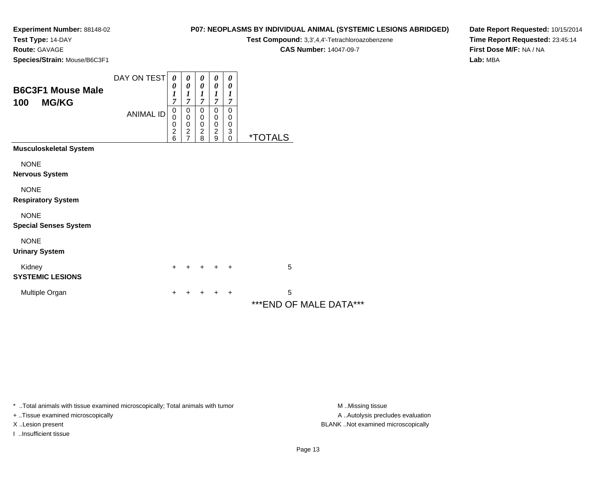**Test Type:** 14-DAY

**Route:** GAVAGE

**Species/Strain:** Mouse/B6C3F1

### **P07: NEOPLASMS BY INDIVIDUAL ANIMAL (SYSTEMIC LESIONS ABRIDGED)**

**Test Compound:** 3,3',4,4'-Tetrachloroazobenzene

**CAS Number:** 14047-09-7

**Date Report Requested:** 10/15/2014**Time Report Requested:** 23:45:14**First Dose M/F:** NA / NA**Lab:** MBA

| <b>B6C3F1 Mouse Male</b><br><b>MG/KG</b><br>100 | DAY ON TEST<br><b>ANIMAL ID</b> | 0<br>0<br>$\boldsymbol{l}$<br>7<br>$\pmb{0}$<br>$\mathbf 0$<br>0<br>$\overline{c}$<br>6 | 0<br>$\boldsymbol{\theta}$<br>$\boldsymbol{l}$<br>$\overline{7}$<br>$\,0\,$<br>$\pmb{0}$<br>$\frac{0}{2}$<br>$\overline{7}$ | 0<br>0<br>$\boldsymbol{l}$<br>$\overline{7}$<br>0<br>$\pmb{0}$<br>$\begin{smallmatrix} 0 \\ 2 \end{smallmatrix}$<br>8 | 0<br>$\boldsymbol{\theta}$<br>1<br>$\overline{7}$<br>$\mathbf 0$<br>$\pmb{0}$<br>$\pmb{0}$<br>$\boldsymbol{2}$<br>9 | 0<br>$\boldsymbol{\theta}$<br>1<br>$\overline{7}$<br>0<br>0<br>0<br>3<br>0 | <i><b>*TOTALS</b></i>        |
|-------------------------------------------------|---------------------------------|-----------------------------------------------------------------------------------------|-----------------------------------------------------------------------------------------------------------------------------|-----------------------------------------------------------------------------------------------------------------------|---------------------------------------------------------------------------------------------------------------------|----------------------------------------------------------------------------|------------------------------|
| <b>Musculoskeletal System</b>                   |                                 |                                                                                         |                                                                                                                             |                                                                                                                       |                                                                                                                     |                                                                            |                              |
| <b>NONE</b><br><b>Nervous System</b>            |                                 |                                                                                         |                                                                                                                             |                                                                                                                       |                                                                                                                     |                                                                            |                              |
| <b>NONE</b><br><b>Respiratory System</b>        |                                 |                                                                                         |                                                                                                                             |                                                                                                                       |                                                                                                                     |                                                                            |                              |
| <b>NONE</b><br><b>Special Senses System</b>     |                                 |                                                                                         |                                                                                                                             |                                                                                                                       |                                                                                                                     |                                                                            |                              |
| <b>NONE</b><br><b>Urinary System</b>            |                                 |                                                                                         |                                                                                                                             |                                                                                                                       |                                                                                                                     |                                                                            |                              |
| Kidney<br><b>SYSTEMIC LESIONS</b>               |                                 | $\ddot{}$                                                                               |                                                                                                                             |                                                                                                                       |                                                                                                                     | $\ddot{}$                                                                  | 5                            |
| Multiple Organ                                  |                                 | +                                                                                       |                                                                                                                             |                                                                                                                       |                                                                                                                     | +                                                                          | 5<br>*** END OF MALE DATA*** |

\* ..Total animals with tissue examined microscopically; Total animals with tumor **M** . Missing tissue M ..Missing tissue

+ ..Tissue examined microscopically

I ..Insufficient tissue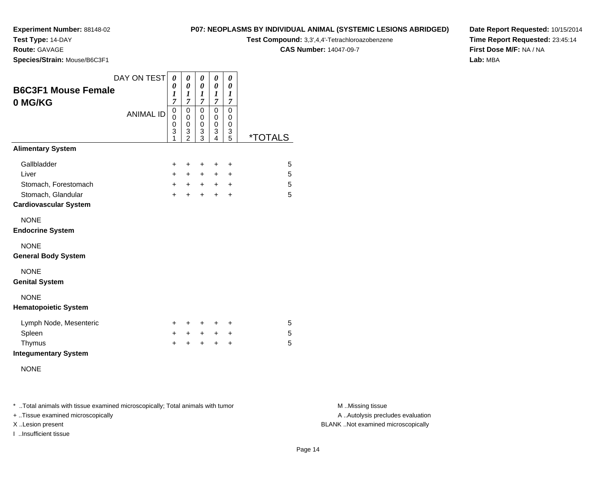**Test Type:** 14-DAY

**Route:** GAVAGE

**Species/Strain:** Mouse/B6C3F1

## **P07: NEOPLASMS BY INDIVIDUAL ANIMAL (SYSTEMIC LESIONS ABRIDGED)**

**Test Compound:** 3,3',4,4'-Tetrachloroazobenzene

**CAS Number:** 14047-09-7

**Date Report Requested:** 10/15/2014**Time Report Requested:** 23:45:14**First Dose M/F:** NA / NA**Lab:** MBA

| <b>B6C3F1 Mouse Female</b><br>0 MG/KG              | DAY ON TEST      | 0<br>0<br>$\boldsymbol{l}$<br>7 | 0<br>$\boldsymbol{\theta}$<br>1<br>$\overline{7}$ | 0<br>0<br>1<br>7      | 0<br>$\pmb{\theta}$<br>1<br>7   | 0<br>$\theta$<br>1<br>$\overline{7}$ |                       |
|----------------------------------------------------|------------------|---------------------------------|---------------------------------------------------|-----------------------|---------------------------------|--------------------------------------|-----------------------|
|                                                    | <b>ANIMAL ID</b> |                                 | $\mathbf 0$<br>0<br>0<br>3<br>$\mathfrak{p}$      | 0<br>0<br>0<br>3<br>3 | $\mathbf 0$<br>0<br>0<br>3<br>4 | $\mathbf 0$<br>0<br>0<br>3<br>5      | <i><b>*TOTALS</b></i> |
| <b>Alimentary System</b>                           |                  |                                 |                                                   |                       |                                 |                                      |                       |
| Gallbladder                                        |                  | $\ddot{}$                       | $\ddot{}$                                         | $\ddot{}$             | +                               | $\ddot{}$                            | 5                     |
| Liver                                              |                  | $+$                             | $+$                                               | $+$                   | +                               | $\ddot{}$                            | 5                     |
| Stomach, Forestomach                               |                  | $+$                             | $+$ $-$                                           | $+$                   | $+$                             | $\ddot{}$                            | 5                     |
| Stomach, Glandular<br><b>Cardiovascular System</b> |                  | $\ddot{}$                       | $\ddot{}$                                         | $+$                   | $\ddot{}$                       | $\ddot{}$                            | 5                     |
| <b>NONE</b><br><b>Endocrine System</b>             |                  |                                 |                                                   |                       |                                 |                                      |                       |
| <b>NONE</b><br><b>General Body System</b>          |                  |                                 |                                                   |                       |                                 |                                      |                       |
| <b>NONE</b><br><b>Genital System</b>               |                  |                                 |                                                   |                       |                                 |                                      |                       |
| <b>NONE</b><br><b>Hematopoietic System</b>         |                  |                                 |                                                   |                       |                                 |                                      |                       |
| Lymph Node, Mesenteric                             |                  | $\pm$                           | $\pm$                                             | $\ddot{}$             | ٠                               | $\ddot{}$                            | 5                     |
| Spleen                                             |                  | $\pm$                           | $\ddot{}$                                         | $+$                   | +                               | $\ddot{}$                            | 5                     |
| Thymus<br><b>Integumentary System</b>              |                  | $\ddot{}$                       | +                                                 | $\div$                | $\ddot{}$                       | $\ddot{}$                            | 5                     |
| <b>NONE</b>                                        |                  |                                 |                                                   |                       |                                 |                                      |                       |

\* ..Total animals with tissue examined microscopically; Total animals with tumor **M** . Missing tissue M ..Missing tissue

+ ..Tissue examined microscopically

I ..Insufficient tissue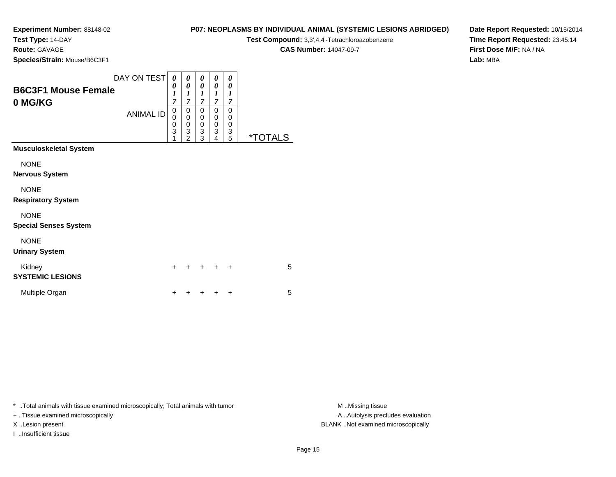**Test Type:** 14-DAY

**Route:** GAVAGE

**Species/Strain:** Mouse/B6C3F1

## **P07: NEOPLASMS BY INDIVIDUAL ANIMAL (SYSTEMIC LESIONS ABRIDGED)**

**Test Compound:** 3,3',4,4'-Tetrachloroazobenzene

**CAS Number:** 14047-09-7

**Date Report Requested:** 10/15/2014**Time Report Requested:** 23:45:14**First Dose M/F:** NA / NA**Lab:** MBA

| <b>B6C3F1 Mouse Female</b><br>0 MG/KG       | DAY ON TEST<br><b>ANIMAL ID</b> | 0<br>0<br>$\boldsymbol{l}$<br>$\overline{7}$<br>0<br>0<br>0<br>3<br>1 | 0<br>0<br>$\boldsymbol{l}$<br>$\overline{7}$<br>0<br>$\mathbf 0$<br>0<br>$\frac{3}{2}$ | 0<br>0<br>$\boldsymbol{l}$<br>$\overline{7}$<br>0<br>0<br>0<br>3<br>3 | 0<br>0<br>1<br>$\overline{\tau}$<br>0<br>$\mathbf 0$<br>$\mathbf 0$<br>$\overline{3}$<br>4 | 0<br>0<br>$\boldsymbol{l}$<br>7<br>0<br>0<br>0<br>3<br>5 | <i><b>*TOTALS</b></i> |
|---------------------------------------------|---------------------------------|-----------------------------------------------------------------------|----------------------------------------------------------------------------------------|-----------------------------------------------------------------------|--------------------------------------------------------------------------------------------|----------------------------------------------------------|-----------------------|
| <b>Musculoskeletal System</b>               |                                 |                                                                       |                                                                                        |                                                                       |                                                                                            |                                                          |                       |
| <b>NONE</b><br><b>Nervous System</b>        |                                 |                                                                       |                                                                                        |                                                                       |                                                                                            |                                                          |                       |
| <b>NONE</b><br><b>Respiratory System</b>    |                                 |                                                                       |                                                                                        |                                                                       |                                                                                            |                                                          |                       |
| <b>NONE</b><br><b>Special Senses System</b> |                                 |                                                                       |                                                                                        |                                                                       |                                                                                            |                                                          |                       |
| <b>NONE</b><br><b>Urinary System</b>        |                                 |                                                                       |                                                                                        |                                                                       |                                                                                            |                                                          |                       |
| Kidney<br><b>SYSTEMIC LESIONS</b>           |                                 | $\ddot{}$                                                             | +                                                                                      | +                                                                     | +                                                                                          | ÷                                                        | 5                     |
| Multiple Organ                              |                                 | +                                                                     |                                                                                        |                                                                       |                                                                                            | +                                                        | 5                     |

\* ..Total animals with tissue examined microscopically; Total animals with tumor **M** . Missing tissue M ..Missing tissue

+ ..Tissue examined microscopically

I ..Insufficient tissue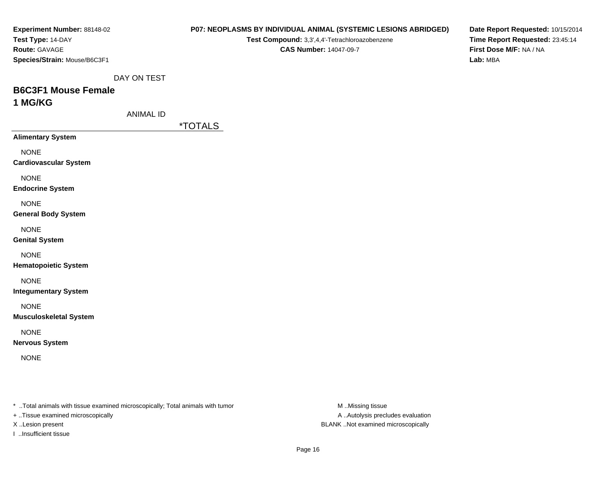| <b>Experiment Number: 88148-02</b><br>Test Type: 14-DAY<br>Route: GAVAGE<br>Species/Strain: Mouse/B6C3F1            |                  | Test Compound: 3,3',4,4'-Tetrachloroazobenzene<br><b>CAS Number: 14047-09-7</b> | <b>P07: NEOPLASMS BY INDIVIDUAL ANIMAL (SYSTEMIC LESIONS ABRIDGED)</b> | Date Report Requested: 10/15/2014<br>Time Report Requested: 23:45:14<br>First Dose M/F: NA / NA<br>Lab: MBA |
|---------------------------------------------------------------------------------------------------------------------|------------------|---------------------------------------------------------------------------------|------------------------------------------------------------------------|-------------------------------------------------------------------------------------------------------------|
|                                                                                                                     | DAY ON TEST      |                                                                                 |                                                                        |                                                                                                             |
| <b>B6C3F1 Mouse Female</b><br>1 MG/KG                                                                               | <b>ANIMAL ID</b> |                                                                                 |                                                                        |                                                                                                             |
|                                                                                                                     | *TOTALS          |                                                                                 |                                                                        |                                                                                                             |
| <b>Alimentary System</b>                                                                                            |                  |                                                                                 |                                                                        |                                                                                                             |
| <b>NONE</b><br><b>Cardiovascular System</b>                                                                         |                  |                                                                                 |                                                                        |                                                                                                             |
| <b>NONE</b><br><b>Endocrine System</b>                                                                              |                  |                                                                                 |                                                                        |                                                                                                             |
| <b>NONE</b><br><b>General Body System</b>                                                                           |                  |                                                                                 |                                                                        |                                                                                                             |
| <b>NONE</b><br><b>Genital System</b>                                                                                |                  |                                                                                 |                                                                        |                                                                                                             |
| <b>NONE</b><br><b>Hematopoietic System</b>                                                                          |                  |                                                                                 |                                                                        |                                                                                                             |
| <b>NONE</b><br><b>Integumentary System</b>                                                                          |                  |                                                                                 |                                                                        |                                                                                                             |
| <b>NONE</b><br><b>Musculoskeletal System</b>                                                                        |                  |                                                                                 |                                                                        |                                                                                                             |
| <b>NONE</b><br><b>Nervous System</b>                                                                                |                  |                                                                                 |                                                                        |                                                                                                             |
| <b>NONE</b>                                                                                                         |                  |                                                                                 |                                                                        |                                                                                                             |
|                                                                                                                     |                  |                                                                                 |                                                                        |                                                                                                             |
| * Total animals with tissue examined microscopically; Total animals with tumor<br>+ Tissue examined microscopically |                  |                                                                                 | M Missing tissue<br>A  Autolysis precludes evaluation                  |                                                                                                             |

X ..Lesion present BLANK ..Not examined microscopically

I ..Insufficient tissue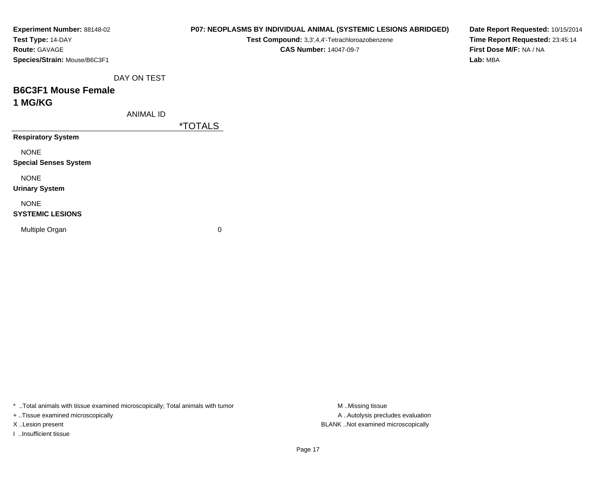| Experiment Number: 88148-02  |                  |                       | P07: NEOPLASMS BY INDIVIDUAL ANIMAL (SYSTEMIC LESIONS ABRIDGED) |  | Date Report Requested: 10/15/2014 |  |
|------------------------------|------------------|-----------------------|-----------------------------------------------------------------|--|-----------------------------------|--|
| Test Type: 14-DAY            |                  |                       | Test Compound: 3,3',4,4'-Tetrachloroazobenzene                  |  | Time Report Requested: 23:45:14   |  |
| Route: GAVAGE                |                  |                       | <b>CAS Number: 14047-09-7</b>                                   |  | First Dose M/F: NA / NA           |  |
| Species/Strain: Mouse/B6C3F1 |                  |                       |                                                                 |  | Lab: MBA                          |  |
|                              | DAY ON TEST      |                       |                                                                 |  |                                   |  |
| <b>B6C3F1 Mouse Female</b>   |                  |                       |                                                                 |  |                                   |  |
| 1 MG/KG                      |                  |                       |                                                                 |  |                                   |  |
|                              | <b>ANIMAL ID</b> |                       |                                                                 |  |                                   |  |
|                              |                  | <i><b>*TOTALS</b></i> |                                                                 |  |                                   |  |
| <b>Respiratory System</b>    |                  |                       |                                                                 |  |                                   |  |
| <b>NONE</b>                  |                  |                       |                                                                 |  |                                   |  |
| <b>Special Senses System</b> |                  |                       |                                                                 |  |                                   |  |
| <b>NONE</b>                  |                  |                       |                                                                 |  |                                   |  |
| <b>Urinary System</b>        |                  |                       |                                                                 |  |                                   |  |
| <b>NONE</b>                  |                  |                       |                                                                 |  |                                   |  |
| <b>SYSTEMIC LESIONS</b>      |                  |                       |                                                                 |  |                                   |  |
| Multiple Organ               |                  | 0                     |                                                                 |  |                                   |  |
|                              |                  |                       |                                                                 |  |                                   |  |
|                              |                  |                       |                                                                 |  |                                   |  |

\* ..Total animals with tissue examined microscopically; Total animals with tumor M..Missing tissue M ..Missing tissue

+ ..Tissue examined microscopically

I ..Insufficient tissue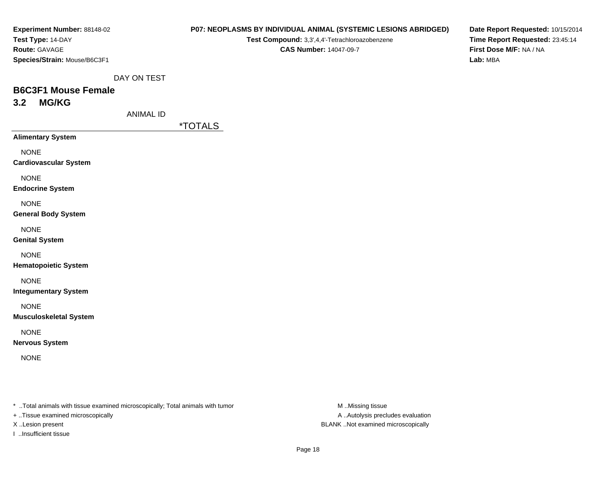| Experiment Number: 88148-02  |
|------------------------------|
| <b>Test Type: 14-DAY</b>     |
| <b>Route: GAVAGE</b>         |
| Species/Strain: Mouse/B6C3F1 |

# **P07: NEOPLASMS BY INDIVIDUAL ANIMAL (SYSTEMIC LESIONS ABRIDGED)**

**Test Compound:** 3,3',4,4'-Tetrachloroazobenzene**CAS Number:** 14047-09-7

**Date Report Requested:** 10/15/2014**Time Report Requested:** 23:45:14**First Dose M/F:** NA / NA**Lab:** MBA

DAY ON TEST

# **B6C3F1 Mouse Female3.2 MG/KG**

ANIMAL ID

\*TOTALS

**Alimentary System**

NONE

**Cardiovascular System**

NONE

**Endocrine System**

NONE

**General Body System**

NONE

**Genital System**

NONE

**Hematopoietic System**

NONE

**Integumentary System**

NONE

**Musculoskeletal System**

NONE

**Nervous System**

NONE

\* ..Total animals with tissue examined microscopically; Total animals with tumor **M** ..Missing tissue M ..Missing tissue

+ ..Tissue examined microscopically

I ..Insufficient tissue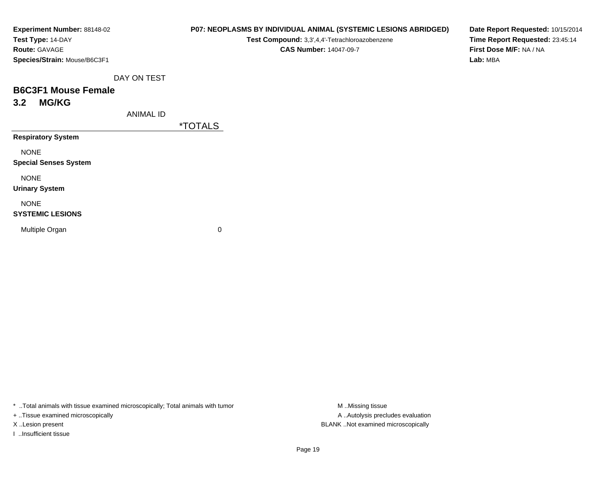| Experiment Number: 88148-02  |
|------------------------------|
| Test Type: 14-DAY            |
| <b>Route:</b> GAVAGE         |
| Species/Strain: Mouse/B6C3F1 |

#### **P07: NEOPLASMS BY INDIVIDUAL ANIMAL (SYSTEMIC LESIONS ABRIDGED)**

**Test Compound:** 3,3',4,4'-Tetrachloroazobenzene

**CAS Number:** 14047-09-7

**Date Report Requested:** 10/15/2014**Time Report Requested:** 23:45:14**First Dose M/F:** NA / NA**Lab:** MBA

DAY ON TEST

# **B6C3F1 Mouse Female3.2 MG/KG**

ANIMAL ID

\*TOTALS

**Respiratory System**

NONE

**Special Senses System**

NONE

**Urinary System**

NONE

#### **SYSTEMIC LESIONS**

Multiple Organ

 $\mathbf n$  0

\* ..Total animals with tissue examined microscopically; Total animals with tumor **M** ...Missing tissue M ...Missing tissue

+ ..Tissue examined microscopically

I ..Insufficient tissue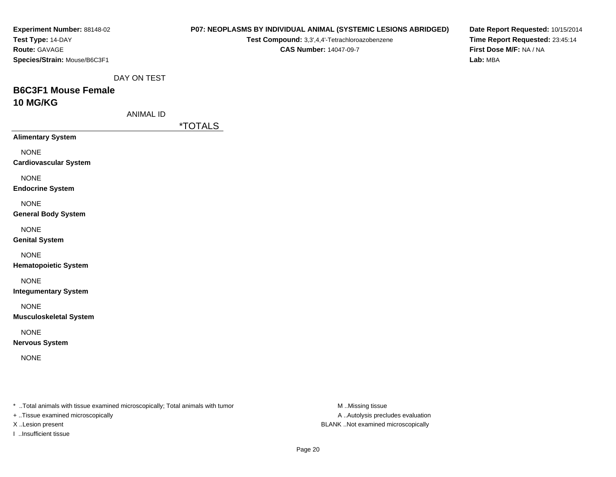| <b>Experiment Number: 88148-02</b>                                             |                       | <b>P07: NEOPLASMS BY INDIVIDUAL ANIMAL (SYSTEMIC LESIONS ABRIDGED)</b> | Date Report Requested: 10/15/2014 |
|--------------------------------------------------------------------------------|-----------------------|------------------------------------------------------------------------|-----------------------------------|
| Test Type: 14-DAY                                                              |                       | Test Compound: 3,3',4,4'-Tetrachloroazobenzene                         | Time Report Requested: 23:45:14   |
| Route: GAVAGE                                                                  |                       | <b>CAS Number: 14047-09-7</b>                                          | First Dose M/F: NA / NA           |
| Species/Strain: Mouse/B6C3F1                                                   |                       |                                                                        | Lab: MBA                          |
|                                                                                | DAY ON TEST           |                                                                        |                                   |
| <b>B6C3F1 Mouse Female</b>                                                     |                       |                                                                        |                                   |
| 10 MG/KG                                                                       |                       |                                                                        |                                   |
|                                                                                | <b>ANIMAL ID</b>      |                                                                        |                                   |
|                                                                                | <i><b>*TOTALS</b></i> |                                                                        |                                   |
| <b>Alimentary System</b>                                                       |                       |                                                                        |                                   |
| <b>NONE</b>                                                                    |                       |                                                                        |                                   |
| <b>Cardiovascular System</b>                                                   |                       |                                                                        |                                   |
|                                                                                |                       |                                                                        |                                   |
| <b>NONE</b>                                                                    |                       |                                                                        |                                   |
| <b>Endocrine System</b>                                                        |                       |                                                                        |                                   |
| <b>NONE</b>                                                                    |                       |                                                                        |                                   |
| <b>General Body System</b>                                                     |                       |                                                                        |                                   |
| <b>NONE</b>                                                                    |                       |                                                                        |                                   |
| <b>Genital System</b>                                                          |                       |                                                                        |                                   |
| <b>NONE</b>                                                                    |                       |                                                                        |                                   |
| <b>Hematopoietic System</b>                                                    |                       |                                                                        |                                   |
|                                                                                |                       |                                                                        |                                   |
| <b>NONE</b>                                                                    |                       |                                                                        |                                   |
| <b>Integumentary System</b>                                                    |                       |                                                                        |                                   |
| <b>NONE</b>                                                                    |                       |                                                                        |                                   |
| <b>Musculoskeletal System</b>                                                  |                       |                                                                        |                                   |
| <b>NONE</b>                                                                    |                       |                                                                        |                                   |
| <b>Nervous System</b>                                                          |                       |                                                                        |                                   |
|                                                                                |                       |                                                                        |                                   |
| <b>NONE</b>                                                                    |                       |                                                                        |                                   |
|                                                                                |                       |                                                                        |                                   |
|                                                                                |                       |                                                                        |                                   |
| * Total animals with tissue examined microscopically; Total animals with tumor |                       | M Missing tissue                                                       |                                   |
| + Tissue examined microscopically                                              |                       | A  Autolysis precludes evaluation                                      |                                   |
| X Lesion present                                                               |                       | BLANK Not examined microscopically                                     |                                   |

I ..Insufficient tissue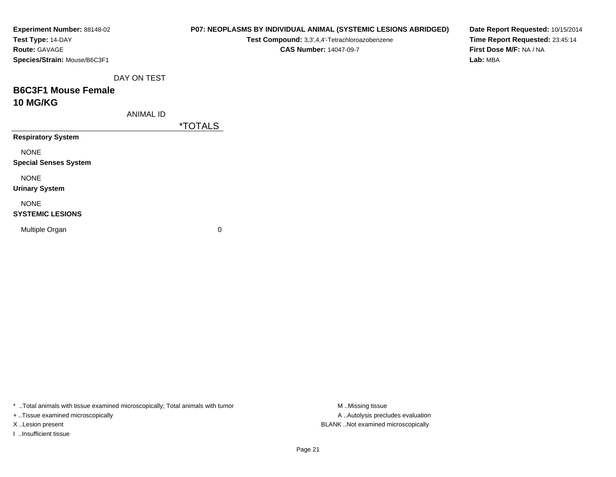| Experiment Number: 88148-02<br>Test Type: 14-DAY |                  |                       | Test Compound: 3,3',4,4'-Tetrachloroazobenzene | P07: NEOPLASMS BY INDIVIDUAL ANIMAL (SYSTEMIC LESIONS ABRIDGED) | Date Report Requested: 10/15/2014<br>Time Report Requested: 23:45:14 |  |  |
|--------------------------------------------------|------------------|-----------------------|------------------------------------------------|-----------------------------------------------------------------|----------------------------------------------------------------------|--|--|
| Route: GAVAGE                                    |                  |                       | <b>CAS Number: 14047-09-7</b>                  |                                                                 | First Dose M/F: NA / NA                                              |  |  |
| Species/Strain: Mouse/B6C3F1                     |                  |                       |                                                |                                                                 | Lab: MBA                                                             |  |  |
|                                                  | DAY ON TEST      |                       |                                                |                                                                 |                                                                      |  |  |
| <b>B6C3F1 Mouse Female</b>                       |                  |                       |                                                |                                                                 |                                                                      |  |  |
| <b>10 MG/KG</b>                                  |                  |                       |                                                |                                                                 |                                                                      |  |  |
|                                                  | <b>ANIMAL ID</b> |                       |                                                |                                                                 |                                                                      |  |  |
|                                                  |                  | <i><b>*TOTALS</b></i> |                                                |                                                                 |                                                                      |  |  |
| <b>Respiratory System</b>                        |                  |                       |                                                |                                                                 |                                                                      |  |  |
| <b>NONE</b>                                      |                  |                       |                                                |                                                                 |                                                                      |  |  |
| <b>Special Senses System</b>                     |                  |                       |                                                |                                                                 |                                                                      |  |  |
| <b>NONE</b>                                      |                  |                       |                                                |                                                                 |                                                                      |  |  |
| <b>Urinary System</b>                            |                  |                       |                                                |                                                                 |                                                                      |  |  |
| <b>NONE</b>                                      |                  |                       |                                                |                                                                 |                                                                      |  |  |
| <b>SYSTEMIC LESIONS</b>                          |                  |                       |                                                |                                                                 |                                                                      |  |  |
| Multiple Organ                                   |                  | 0                     |                                                |                                                                 |                                                                      |  |  |
|                                                  |                  |                       |                                                |                                                                 |                                                                      |  |  |
|                                                  |                  |                       |                                                |                                                                 |                                                                      |  |  |

\* ..Total animals with tissue examined microscopically; Total animals with tumor M..Missing tissue M ..Missing tissue

+ ..Tissue examined microscopically

I ..Insufficient tissue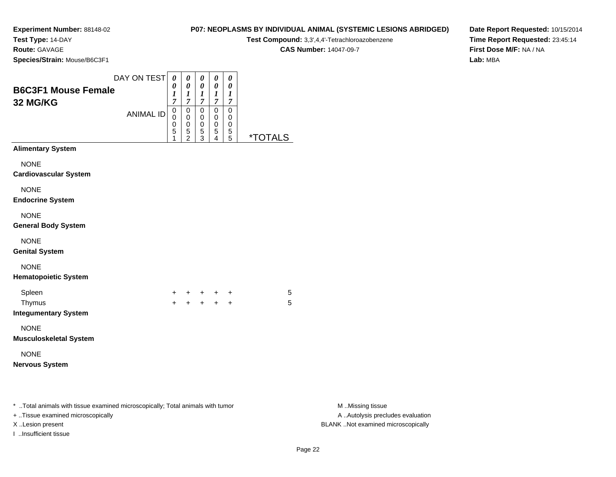**Test Type:** 14-DAY

**Route:** GAVAGE

**Species/Strain:** Mouse/B6C3F1

# **P07: NEOPLASMS BY INDIVIDUAL ANIMAL (SYSTEMIC LESIONS ABRIDGED)**

**Test Compound:** 3,3',4,4'-Tetrachloroazobenzene

**CAS Number:** 14047-09-7

**Date Report Requested:** 10/15/2014**Time Report Requested:** 23:45:14**First Dose M/F:** NA / NA**Lab:** MBA

|                                                                                                                      | DAY ON TEST      | $\boldsymbol{\theta}$ | $\pmb{\theta}$                                              | 0                            | 0                                                             | 0                                           |                       |                                                       |
|----------------------------------------------------------------------------------------------------------------------|------------------|-----------------------|-------------------------------------------------------------|------------------------------|---------------------------------------------------------------|---------------------------------------------|-----------------------|-------------------------------------------------------|
| <b>B6C3F1 Mouse Female</b><br>32 MG/KG                                                                               |                  | 0<br>1<br>7           | $\boldsymbol{\theta}$<br>$\boldsymbol{l}$<br>$\overline{7}$ | 0<br>1<br>$\overline{7}$     | $\boldsymbol{\theta}$<br>$\boldsymbol{l}$<br>$\boldsymbol{7}$ | 0<br>$\boldsymbol{l}$<br>$\boldsymbol{7}$   |                       |                                                       |
|                                                                                                                      | <b>ANIMAL ID</b> | 0<br>0<br>0<br>5<br>1 | $\,0\,$<br>0<br>0<br>5<br>$\overline{2}$                    | 0<br>0<br>0<br>$\frac{5}{3}$ | $\pmb{0}$<br>0<br>0<br>5<br>4                                 | $\boldsymbol{0}$<br>0<br>0<br>$\frac{5}{5}$ | <i><b>*TOTALS</b></i> |                                                       |
| <b>Alimentary System</b>                                                                                             |                  |                       |                                                             |                              |                                                               |                                             |                       |                                                       |
| <b>NONE</b><br><b>Cardiovascular System</b>                                                                          |                  |                       |                                                             |                              |                                                               |                                             |                       |                                                       |
| <b>NONE</b><br><b>Endocrine System</b>                                                                               |                  |                       |                                                             |                              |                                                               |                                             |                       |                                                       |
| <b>NONE</b><br><b>General Body System</b>                                                                            |                  |                       |                                                             |                              |                                                               |                                             |                       |                                                       |
| <b>NONE</b><br><b>Genital System</b>                                                                                 |                  |                       |                                                             |                              |                                                               |                                             |                       |                                                       |
| <b>NONE</b><br><b>Hematopoietic System</b>                                                                           |                  |                       |                                                             |                              |                                                               |                                             |                       |                                                       |
| Spleen<br>Thymus<br><b>Integumentary System</b>                                                                      |                  | +<br>$+$              | $\pm$                                                       | $+ + +$                      | + + +                                                         | $\ddot{}$                                   | 5<br>5                |                                                       |
| <b>NONE</b><br><b>Musculoskeletal System</b>                                                                         |                  |                       |                                                             |                              |                                                               |                                             |                       |                                                       |
| <b>NONE</b><br><b>Nervous System</b>                                                                                 |                  |                       |                                                             |                              |                                                               |                                             |                       |                                                       |
| *  Total animals with tissue examined microscopically; Total animals with tumor<br>+ Tissue examined microscopically |                  |                       |                                                             |                              |                                                               |                                             |                       | M Missing tissue<br>A  Autolysis precludes evaluation |
| X Lesion present                                                                                                     |                  |                       |                                                             |                              |                                                               |                                             |                       | BLANK Not examined microscopically                    |

I ..Insufficient tissue

M ..Missing tissue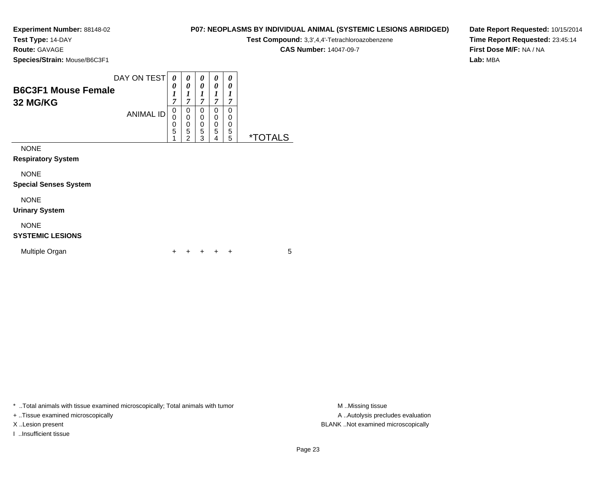**Test Type:** 14-DAY

**Route:** GAVAGE

**Species/Strain:** Mouse/B6C3F1

### **P07: NEOPLASMS BY INDIVIDUAL ANIMAL (SYSTEMIC LESIONS ABRIDGED)**

**Test Compound:** 3,3',4,4'-Tetrachloroazobenzene

**CAS Number:** 14047-09-7

**Date Report Requested:** 10/15/2014**Time Report Requested:** 23:45:14**First Dose M/F:** NA / NA**Lab:** MBA

|                                        | DAY ON TEST      | 0                        | 0                                  | 0                     | 0                     | 0                     |                       |
|----------------------------------------|------------------|--------------------------|------------------------------------|-----------------------|-----------------------|-----------------------|-----------------------|
| <b>B6C3F1 Mouse Female</b><br>32 MG/KG |                  | 0<br>1<br>$\overline{7}$ | 0<br>1<br>$\overline{7}$           | 0<br>1<br>7           | 0<br>1<br>7           | 0<br>1<br>7           |                       |
|                                        | <b>ANIMAL ID</b> | 0<br>0<br>0<br>5<br>4    | 0<br>0<br>0<br>5<br>$\overline{2}$ | 0<br>0<br>0<br>5<br>3 | 0<br>0<br>0<br>5<br>4 | 0<br>0<br>0<br>5<br>5 | <i><b>*TOTALS</b></i> |
| <b>NONE</b>                            |                  |                          |                                    |                       |                       |                       |                       |
| <b>Respiratory System</b>              |                  |                          |                                    |                       |                       |                       |                       |
| <b>NONE</b>                            |                  |                          |                                    |                       |                       |                       |                       |
| <b>Special Senses System</b>           |                  |                          |                                    |                       |                       |                       |                       |
| <b>NONE</b>                            |                  |                          |                                    |                       |                       |                       |                       |
| <b>Urinary System</b>                  |                  |                          |                                    |                       |                       |                       |                       |
| <b>NONE</b><br><b>SYSTEMIC LESIONS</b> |                  |                          |                                    |                       |                       |                       |                       |

<sup>+</sup> <sup>+</sup> <sup>+</sup> <sup>+</sup> <sup>5</sup>

\* ..Total animals with tissue examined microscopically; Total animals with tumor **M** . Missing tissue M ..Missing tissue

n  $+$ 

+ ..Tissue examined microscopically

I ..Insufficient tissue

Multiple Organ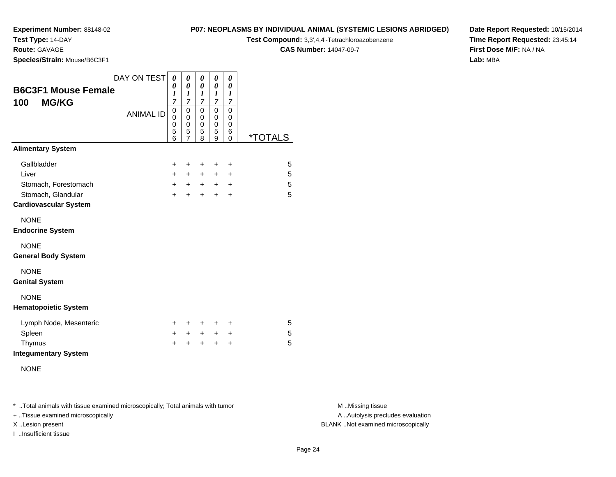**Test Type:** 14-DAY

**Route:** GAVAGE

**Species/Strain:** Mouse/B6C3F1

**Test Compound:** 3,3',4,4'-Tetrachloroazobenzene

**CAS Number:** 14047-09-7

**Date Report Requested:** 10/15/2014**Time Report Requested:** 23:45:14**First Dose M/F:** NA / NA**Lab:** MBA

| <b>B6C3F1 Mouse Female</b><br><b>MG/KG</b><br>100                                                  | DAY ON TEST      | 0<br>0<br>1<br>$\overline{7}$          | 0<br>0<br>1<br>$\overline{7}$                          | 0<br>0<br>1<br>$\overline{7}$          | 0<br>0<br>$\boldsymbol{l}$<br>$\overline{7}$ | 0<br>0<br>1<br>7         |                       |
|----------------------------------------------------------------------------------------------------|------------------|----------------------------------------|--------------------------------------------------------|----------------------------------------|----------------------------------------------|--------------------------|-----------------------|
|                                                                                                    | <b>ANIMAL ID</b> | $\mathbf 0$<br>0<br>0<br>5<br>6        | $\mathsf 0$<br>0<br>$\mathbf 0$<br>5<br>$\overline{7}$ | $\mathbf 0$<br>0<br>0<br>5<br>8        | 0<br>0<br>0<br>5<br>9                        | 0<br>0<br>0<br>6<br>0    | <i><b>*TOTALS</b></i> |
| <b>Alimentary System</b>                                                                           |                  |                                        |                                                        |                                        |                                              |                          |                       |
| Gallbladder<br>Liver<br>Stomach, Forestomach<br>Stomach, Glandular<br><b>Cardiovascular System</b> |                  | $\ddot{}$<br>$\pm$<br>$+$<br>$\ddot{}$ | +<br>$\pm$<br>$+$<br>$\ddot{}$                         | $\ddot{}$<br>$\pm$<br>$+$<br>$\ddot{}$ | $\ddot{}$<br>$\ddot{}$<br>$\pm$<br>$\ddot{}$ | +<br>٠<br>$\ddot{}$<br>+ | 5<br>5<br>5<br>5      |
| <b>NONE</b><br><b>Endocrine System</b>                                                             |                  |                                        |                                                        |                                        |                                              |                          |                       |
| <b>NONE</b><br><b>General Body System</b>                                                          |                  |                                        |                                                        |                                        |                                              |                          |                       |
| <b>NONE</b><br><b>Genital System</b>                                                               |                  |                                        |                                                        |                                        |                                              |                          |                       |
| <b>NONE</b><br><b>Hematopoietic System</b>                                                         |                  |                                        |                                                        |                                        |                                              |                          |                       |
| Lymph Node, Mesenteric<br>Spleen<br>Thymus<br><b>Integumentary System</b>                          |                  | $\pm$<br>$\ddot{}$<br>$\ddot{}$        | ÷.<br>$\pm$<br>$\div$                                  | +<br>$\ddot{}$<br>$\ddot{}$            | +<br>$\ddot{}$<br>$\ddot{}$                  | +<br>+<br>$\ddot{}$      | 5<br>5<br>5           |
| <b>NONE</b>                                                                                        |                  |                                        |                                                        |                                        |                                              |                          |                       |

\* ..Total animals with tissue examined microscopically; Total animals with tumor **M** . Missing tissue M ..Missing tissue

+ ..Tissue examined microscopically

I ..Insufficient tissue